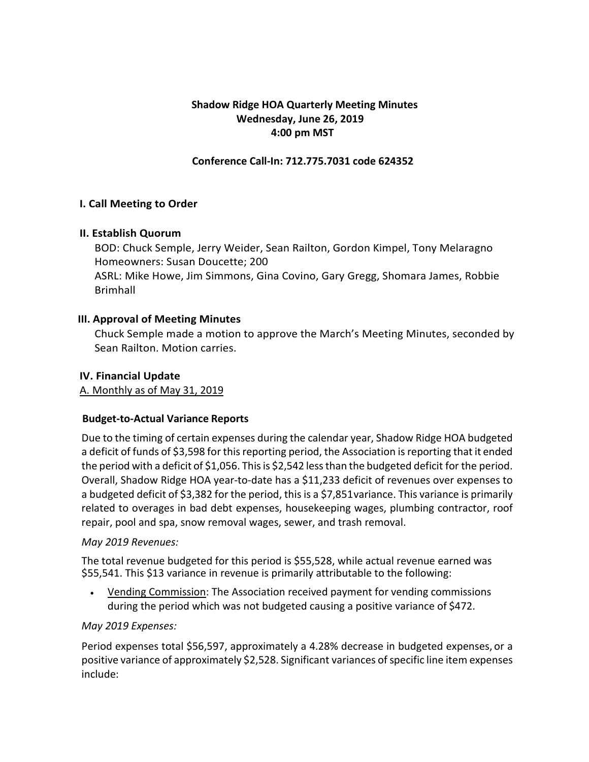# **Shadow Ridge HOA Quarterly Meeting Minutes Wednesday, June 26, 2019 4:00 pm MST**

### **Conference Call-In: 712.775.7031 code 624352**

### **I. Call Meeting to Order**

### **II. Establish Quorum**

BOD: Chuck Semple, Jerry Weider, Sean Railton, Gordon Kimpel, Tony Melaragno Homeowners: Susan Doucette; 200

ASRL: Mike Howe, Jim Simmons, Gina Covino, Gary Gregg, Shomara James, Robbie Brimhall

### **III. Approval of Meeting Minutes**

Chuck Semple made a motion to approve the March's Meeting Minutes, seconded by Sean Railton. Motion carries.

### **IV. Financial Update**

A. Monthly as of May 31, 2019

# **Budget-to-Actual Variance Reports**

Due to the timing of certain expenses during the calendar year, Shadow Ridge HOA budgeted a deficit of funds of \$3,598 for this reporting period, the Association is reporting that it ended the period with a deficit of \$1,056. This is \$2,542 less than the budgeted deficit for the period. Overall, Shadow Ridge HOA year-to-date has a \$11,233 deficit of revenues over expenses to a budgeted deficit of \$3,382 for the period, this is a \$7,851variance. This variance is primarily related to overages in bad debt expenses, housekeeping wages, plumbing contractor, roof repair, pool and spa, snow removal wages, sewer, and trash removal.

#### *May 2019 Revenues:*

The total revenue budgeted for this period is \$55,528, while actual revenue earned was \$55,541. This \$13 variance in revenue is primarily attributable to the following:

• Vending Commission: The Association received payment for vending commissions during the period which was not budgeted causing a positive variance of \$472.

#### *May 2019 Expenses:*

Period expenses total \$56,597, approximately a 4.28% decrease in budgeted expenses, or a positive variance of approximately \$2,528. Significant variances of specific line item expenses include: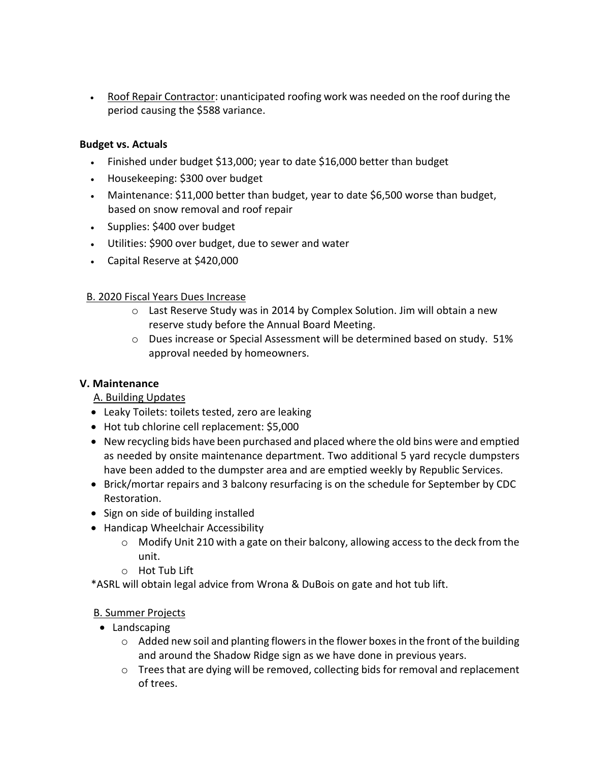• Roof Repair Contractor: unanticipated roofing work was needed on the roof during the period causing the \$588 variance.

### **Budget vs. Actuals**

- Finished under budget \$13,000; year to date \$16,000 better than budget
- Housekeeping: \$300 over budget
- Maintenance: \$11,000 better than budget, year to date \$6,500 worse than budget, based on snow removal and roof repair
- Supplies: \$400 over budget
- Utilities: \$900 over budget, due to sewer and water
- Capital Reserve at \$420,000

### B. 2020 Fiscal Years Dues Increase

- o Last Reserve Study was in 2014 by Complex Solution. Jim will obtain a new reserve study before the Annual Board Meeting.
- o Dues increase or Special Assessment will be determined based on study. 51% approval needed by homeowners.

# **V. Maintenance**

# A. Building Updates

- Leaky Toilets: toilets tested, zero are leaking
- Hot tub chlorine cell replacement: \$5,000
- New recycling bids have been purchased and placed where the old bins were and emptied as needed by onsite maintenance department. Two additional 5 yard recycle dumpsters have been added to the dumpster area and are emptied weekly by Republic Services.
- Brick/mortar repairs and 3 balcony resurfacing is on the schedule for September by CDC Restoration.
- Sign on side of building installed
- Handicap Wheelchair Accessibility
	- o Modify Unit 210 with a gate on their balcony, allowing access to the deck from the unit.
	- o Hot Tub Lift
- \*ASRL will obtain legal advice from Wrona & DuBois on gate and hot tub lift.

# B. Summer Projects

- Landscaping
	- $\circ$  Added new soil and planting flowers in the flower boxes in the front of the building and around the Shadow Ridge sign as we have done in previous years.
	- o Trees that are dying will be removed, collecting bids for removal and replacement of trees.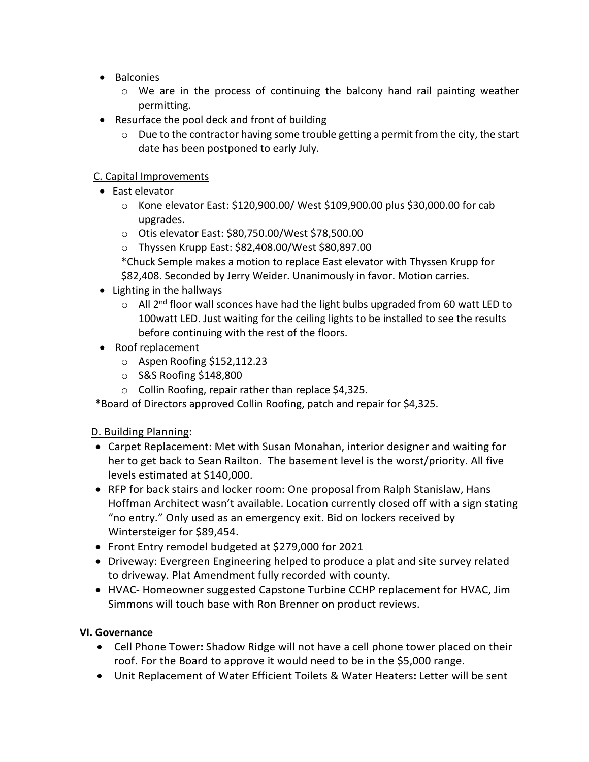- Balconies
	- $\circ$  We are in the process of continuing the balcony hand rail painting weather permitting.
- Resurface the pool deck and front of building
	- $\circ$  Due to the contractor having some trouble getting a permit from the city, the start date has been postponed to early July.

# C. Capital Improvements

- East elevator
	- o Kone elevator East: \$120,900.00/ West \$109,900.00 plus \$30,000.00 for cab upgrades.
	- o Otis elevator East: \$80,750.00/West \$78,500.00
	- o Thyssen Krupp East: \$82,408.00/West \$80,897.00
	- \*Chuck Semple makes a motion to replace East elevator with Thyssen Krupp for \$82,408. Seconded by Jerry Weider. Unanimously in favor. Motion carries.
- Lighting in the hallways
	- $\circ$  All 2<sup>nd</sup> floor wall sconces have had the light bulbs upgraded from 60 watt LED to 100watt LED. Just waiting for the ceiling lights to be installed to see the results before continuing with the rest of the floors.
- Roof replacement
	- o Aspen Roofing \$152,112.23
	- o S&S Roofing \$148,800
	- o Collin Roofing, repair rather than replace \$4,325.

\*Board of Directors approved Collin Roofing, patch and repair for \$4,325.

# D. Building Planning:

- Carpet Replacement: Met with Susan Monahan, interior designer and waiting for her to get back to Sean Railton. The basement level is the worst/priority. All five levels estimated at \$140,000.
- RFP for back stairs and locker room: One proposal from Ralph Stanislaw, Hans Hoffman Architect wasn't available. Location currently closed off with a sign stating "no entry." Only used as an emergency exit. Bid on lockers received by Wintersteiger for \$89,454.
- Front Entry remodel budgeted at \$279,000 for 2021
- Driveway: Evergreen Engineering helped to produce a plat and site survey related to driveway. Plat Amendment fully recorded with county.
- HVAC- Homeowner suggested Capstone Turbine CCHP replacement for HVAC, Jim Simmons will touch base with Ron Brenner on product reviews.

# **VI. Governance**

- Cell Phone Tower**:** Shadow Ridge will not have a cell phone tower placed on their roof. For the Board to approve it would need to be in the \$5,000 range.
- Unit Replacement of Water Efficient Toilets & Water Heaters**:** Letter will be sent